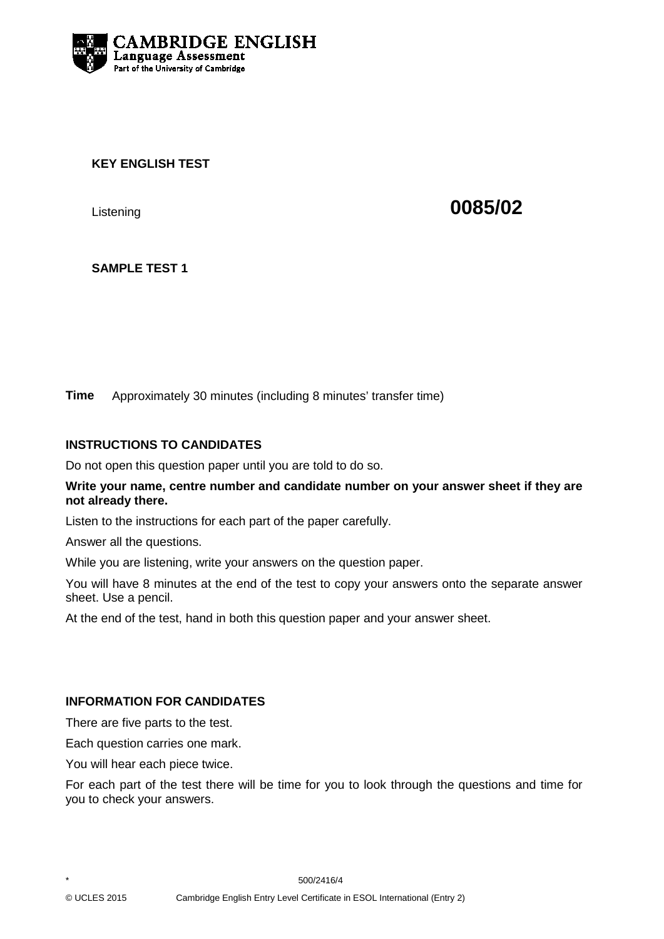

## **KEY ENGLISH TEST**

Listening **0085/02**

# **SAMPLE TEST 1**

**Time** Approximately 30 minutes (including 8 minutes' transfer time)

## **INSTRUCTIONS TO CANDIDATES**

Do not open this question paper until you are told to do so.

#### **Write your name, centre number and candidate number on your answer sheet if they are not already there.**

Listen to the instructions for each part of the paper carefully.

Answer all the questions.

While you are listening, write your answers on the question paper.

You will have 8 minutes at the end of the test to copy your answers onto the separate answer sheet. Use a pencil.

At the end of the test, hand in both this question paper and your answer sheet.

#### **INFORMATION FOR CANDIDATES**

There are five parts to the test.

Each question carries one mark.

You will hear each piece twice.

For each part of the test there will be time for you to look through the questions and time for you to check your answers.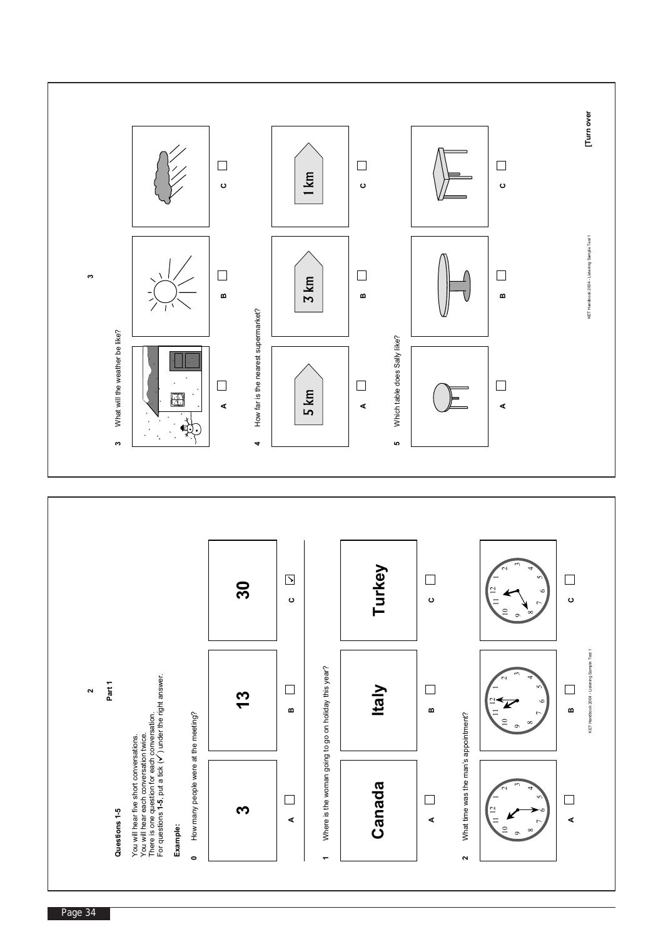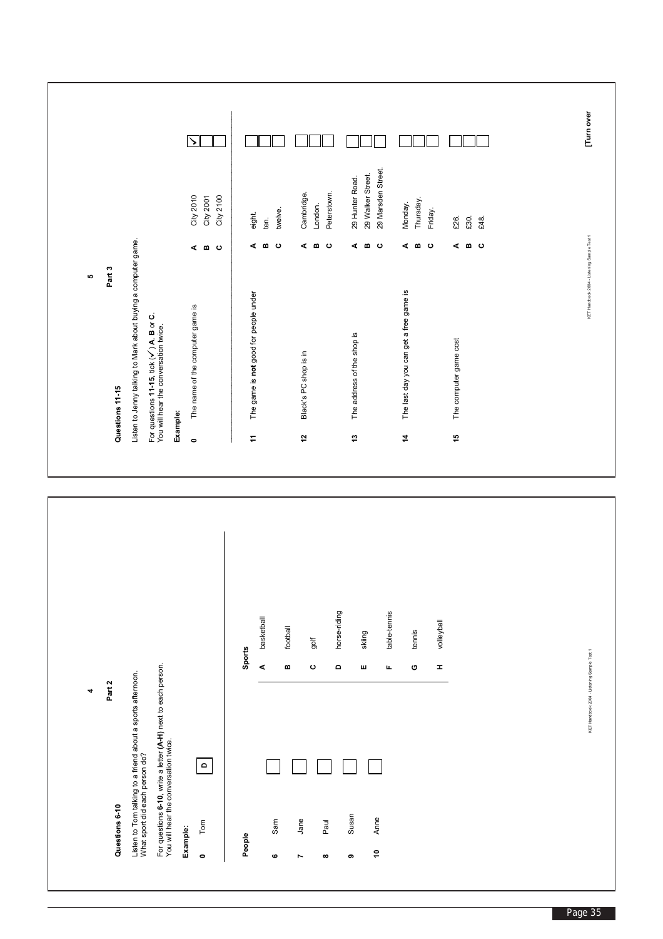|                                                                                                                       | 4                                           |                                                                                              | ю                                           |                        |                       |
|-----------------------------------------------------------------------------------------------------------------------|---------------------------------------------|----------------------------------------------------------------------------------------------|---------------------------------------------|------------------------|-----------------------|
| Questions 6-10                                                                                                        | Part 2                                      | Questions 11-15                                                                              | Part 3                                      |                        |                       |
| Listen to Tom talking to a friend about a sports afternoon.<br>What sport did each person do?                         |                                             | Listen to Jenny talking to Mark about buying a computer game.                                |                                             |                        |                       |
| For questions <b>6-10</b> , write a letter <b>(A-H)</b> next to each person.<br>You will hear the conversation twice. |                                             | For questions 11-15, tick $(\checkmark)$ A, B or C.<br>You will hear the conversation twice. |                                             |                        |                       |
|                                                                                                                       |                                             | Example:                                                                                     |                                             |                        |                       |
| Example:                                                                                                              |                                             | The name of the computer game is<br>$\bullet$                                                |                                             | City 2010              | $\blacktriangleright$ |
| $\mathsf{d}$<br>Tom<br>$\bullet$                                                                                      |                                             |                                                                                              | ه د ه ب                                     | City 2100<br>City 2001 |                       |
| People                                                                                                                | Sports                                      | The game is not good for people under<br>$\dot{\div}$                                        |                                             |                        |                       |
|                                                                                                                       | basketball<br>$\blacktriangleleft$          |                                                                                              | ⋖                                           | eight.<br>ten.         |                       |
| Sam<br>ဖ                                                                                                              | football<br>$\bf{m}$                        |                                                                                              | σ ⊙                                         | twelve.                |                       |
| Jane<br>Ľ                                                                                                             |                                             | Black's PC shop is in<br>5                                                                   | ⋖                                           | Cambridge.             |                       |
|                                                                                                                       | golf<br>$\mathbf \circ$                     |                                                                                              | $\bf m$                                     | London.                |                       |
| Paul<br>$\infty$                                                                                                      | horse-riding<br>$\Omega$                    |                                                                                              | ပ                                           | Peterstown.            |                       |
| Susan<br>თ                                                                                                            |                                             | The address of the shop is<br>$\mathfrak{t}$                                                 |                                             | 29 Hunter Road.        |                       |
|                                                                                                                       | skiing<br>ш                                 |                                                                                              | ه د∞ ه                                      | 29 Walker Street.      |                       |
| Anne<br>Ş                                                                                                             | table-tennis<br>щ                           |                                                                                              |                                             | 29 Marsden Street.     |                       |
|                                                                                                                       |                                             | The last day you can get a free game is<br>4                                                 | ⋖                                           | Monday.                |                       |
|                                                                                                                       | tennis<br>O                                 |                                                                                              | $\bf m$                                     | Thursday.              |                       |
|                                                                                                                       | volleyball<br>I                             |                                                                                              | ပ                                           | Friday.                |                       |
|                                                                                                                       |                                             | The computer game cost<br>15                                                                 |                                             | £26.                   |                       |
|                                                                                                                       |                                             |                                                                                              | ه د∞ ه                                      | £30.                   |                       |
|                                                                                                                       |                                             |                                                                                              |                                             | £48.                   |                       |
|                                                                                                                       |                                             |                                                                                              |                                             |                        |                       |
|                                                                                                                       |                                             |                                                                                              |                                             |                        |                       |
|                                                                                                                       | KET Handbook 2004 - Listening Sample Test 1 |                                                                                              | KET Handbook 2004 - Listening Sample Test 1 |                        | Tum over              |
|                                                                                                                       |                                             |                                                                                              |                                             |                        |                       |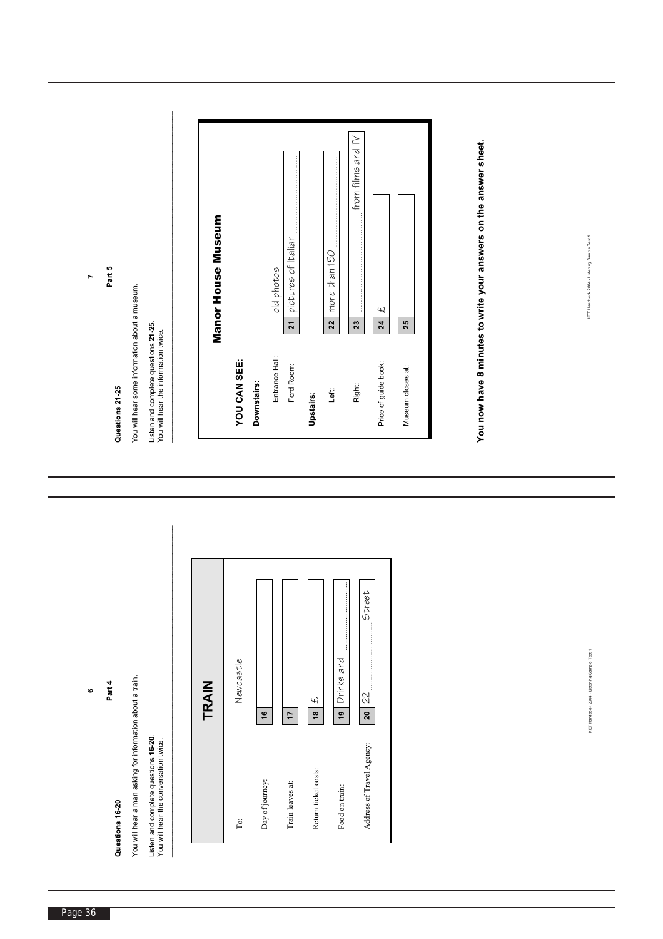| Part 5<br>$\overline{\phantom{a}}$<br>You will hear some information about a museum.<br>Listen and complete questions 21-25.<br>You will hear the information twice.<br>Questions 21-25                                      | from films and TV<br>You now have 8 minutes to write your answers on the answer sheet.<br>j<br>Manor House Museum<br>pictures of Italian<br>more than 150<br>old photos<br>$\overline{z}$<br>22<br>24<br>$\mathbf{z}$<br>$23$<br>25<br>Entrance Hall:<br>YOU CAN SEE:<br>Price of guide book:<br>Ford Room:<br>Museum closes at:<br>Downstairs:<br><b>Right:</b><br>Left<br><b>Upstairs:</b> | KET Handbook 2004 - Listening Sample Test 1 |
|------------------------------------------------------------------------------------------------------------------------------------------------------------------------------------------------------------------------------|----------------------------------------------------------------------------------------------------------------------------------------------------------------------------------------------------------------------------------------------------------------------------------------------------------------------------------------------------------------------------------------------|---------------------------------------------|
| You will hear a man asking for information about a train.<br>Part 4<br>$\mathbf  \, \mathbf  \, \mathbf  \, \mathbf  \,$<br>Listen and complete questions 16-20.<br>You will hear the conversation twice.<br>Questions 16-20 | Street<br>Drinks and<br>Newcastle<br>TRAIN<br>$\mathbb{Z}$<br>£<br>$^{19}$<br>20<br>$\frac{6}{5}$<br>$\overset{\circ}{\phantom{a}}$<br>$\mathsf{L}$<br>Address of Travel Agency:<br>Return ticket costs:<br>Day of journey:<br>Train leaves at:<br>Food on train:<br>$_{\rm To}$                                                                                                             | KET Handbook 2004 - Listening Sample Test 1 |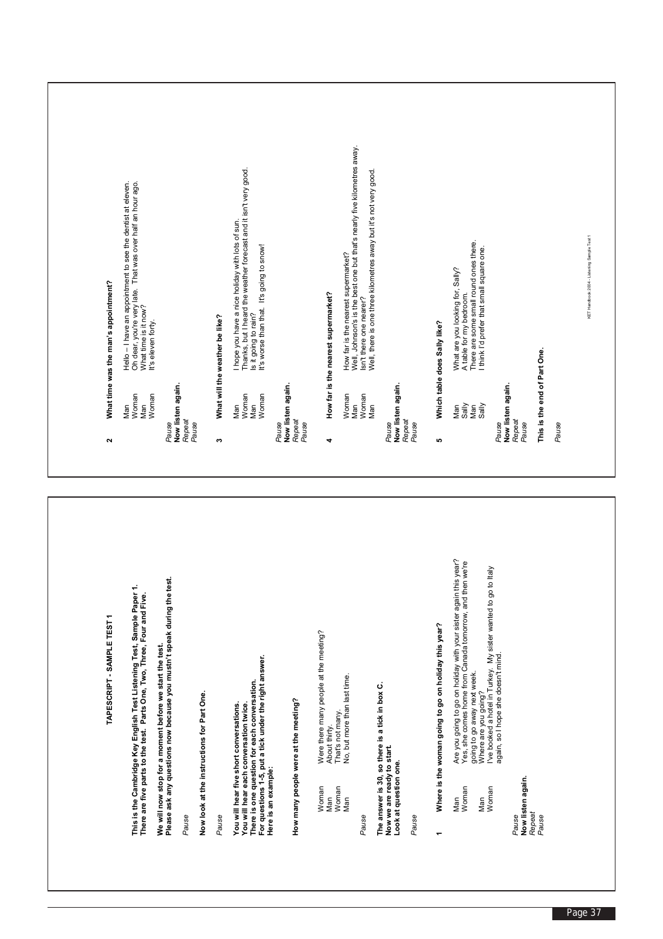| Well, Johnson's is the best one but that's nearly five kilometres away.<br>Thanks, but I heard the weather forecast and it isn't very good.<br>Well, there is one three kilometres away but it's not very good.<br>Hello – I have an appointment to see the dentist at eleven.<br>Oh dear, you're very late.  That was over half an hour ago.<br>I hope you have a nice holiday with lots of sun.<br>KET Handbook 2004 - Listening Sample Test 1<br>There are some small round ones there.<br>I think I'd prefer that small square one.<br>Is it going to rain?<br>It's worse than that. It's going to snow!<br>How far is the nearest supermarket?<br>What are you looking for, Sally?<br>How far is the nearest supermarket?<br>A table for my bedroom.<br>Isn't there one nearer?<br>What time is it now?<br>What will the weather be like?<br>It's eleven forty.<br>Which table does Sally like?<br>This is the end of Part One.<br>Now listen again.<br>Now listen again.<br>Now listen again.<br>Now listen again.<br>Woman<br>Woman<br>Woman<br>Woman<br>Woman<br>Woman<br>Man<br>Man<br>Man<br>Man<br>Sally<br>Man<br>Man<br>Man<br>Sally<br>Man<br>Repeat<br>Repeat<br>Pause<br>Repeat<br>Repeat<br>Pause<br>Pause<br>Pause<br>Pause<br>Pause<br>Pause<br>Pause<br>Pause<br>$\bullet$<br>4<br>ю<br>Are you going to go on holiday with your sister again this year?<br>Yes, she comes home from Canada tomorrow, and then we're<br>I've booked a hotel in Turkey. My sister wanted to go to Italy<br>We will now stop for a moment before we start the test.<br>Please ask any questions now because you mustn't speak during the test.<br>This is the Cambridge Key English Test Listening Test, Sample Paper 1.<br>There are five parts to the test. Parts One, Two, Three, Four and Five.<br>Where is the woman going to go on holiday this year?<br>Were there many people at the meeting?<br>again, so I hope she doesn't mind.<br>For questions 1-5, put a tick under the right answer.<br>going to go away next week.<br>No, but more than last time<br>There is one question for each conversation.<br>The answer is 30, so there is a tick in box C.<br>Where are you going?<br>Now look at the instructions for Part One.<br>How many people were at the meeting?<br>You will hear each conversation twice.<br>You will hear five short conversations.<br>That's not many.<br>About thirty.<br>Now we are ready to start.<br>Look at question one.<br>Here is an example:<br>Now listen again.<br>Woman<br>Woman<br>Woman<br>Woman<br>Man<br>Man<br>Man<br>Man<br>Repeat<br>Pause<br>Pause<br>Pause<br>Pause<br>Pause<br>Pause | ٣<br>TAPESCRIPT - SAMPLE TEST | $\sim$ | What time was the man's appointment? |
|---------------------------------------------------------------------------------------------------------------------------------------------------------------------------------------------------------------------------------------------------------------------------------------------------------------------------------------------------------------------------------------------------------------------------------------------------------------------------------------------------------------------------------------------------------------------------------------------------------------------------------------------------------------------------------------------------------------------------------------------------------------------------------------------------------------------------------------------------------------------------------------------------------------------------------------------------------------------------------------------------------------------------------------------------------------------------------------------------------------------------------------------------------------------------------------------------------------------------------------------------------------------------------------------------------------------------------------------------------------------------------------------------------------------------------------------------------------------------------------------------------------------------------------------------------------------------------------------------------------------------------------------------------------------------------------------------------------------------------------------------------------------------------------------------------------------------------------------------------------------------------------------------------------------------------------------------------------------------------------------------------------------------------------------------------------------------------------------------------------------------------------------------------------------------------------------------------------------------------------------------------------------------------------------------------------------------------------------------------------------------------------------------------------------------------------------------------------------------------------------------------------------------------------------------------------------------------------------------------------------------------------------------|-------------------------------|--------|--------------------------------------|
|                                                                                                                                                                                                                                                                                                                                                                                                                                                                                                                                                                                                                                                                                                                                                                                                                                                                                                                                                                                                                                                                                                                                                                                                                                                                                                                                                                                                                                                                                                                                                                                                                                                                                                                                                                                                                                                                                                                                                                                                                                                                                                                                                                                                                                                                                                                                                                                                                                                                                                                                                                                                                                                   |                               |        |                                      |
|                                                                                                                                                                                                                                                                                                                                                                                                                                                                                                                                                                                                                                                                                                                                                                                                                                                                                                                                                                                                                                                                                                                                                                                                                                                                                                                                                                                                                                                                                                                                                                                                                                                                                                                                                                                                                                                                                                                                                                                                                                                                                                                                                                                                                                                                                                                                                                                                                                                                                                                                                                                                                                                   |                               |        |                                      |
|                                                                                                                                                                                                                                                                                                                                                                                                                                                                                                                                                                                                                                                                                                                                                                                                                                                                                                                                                                                                                                                                                                                                                                                                                                                                                                                                                                                                                                                                                                                                                                                                                                                                                                                                                                                                                                                                                                                                                                                                                                                                                                                                                                                                                                                                                                                                                                                                                                                                                                                                                                                                                                                   |                               |        |                                      |
|                                                                                                                                                                                                                                                                                                                                                                                                                                                                                                                                                                                                                                                                                                                                                                                                                                                                                                                                                                                                                                                                                                                                                                                                                                                                                                                                                                                                                                                                                                                                                                                                                                                                                                                                                                                                                                                                                                                                                                                                                                                                                                                                                                                                                                                                                                                                                                                                                                                                                                                                                                                                                                                   |                               |        |                                      |
|                                                                                                                                                                                                                                                                                                                                                                                                                                                                                                                                                                                                                                                                                                                                                                                                                                                                                                                                                                                                                                                                                                                                                                                                                                                                                                                                                                                                                                                                                                                                                                                                                                                                                                                                                                                                                                                                                                                                                                                                                                                                                                                                                                                                                                                                                                                                                                                                                                                                                                                                                                                                                                                   |                               |        |                                      |
|                                                                                                                                                                                                                                                                                                                                                                                                                                                                                                                                                                                                                                                                                                                                                                                                                                                                                                                                                                                                                                                                                                                                                                                                                                                                                                                                                                                                                                                                                                                                                                                                                                                                                                                                                                                                                                                                                                                                                                                                                                                                                                                                                                                                                                                                                                                                                                                                                                                                                                                                                                                                                                                   |                               |        |                                      |
|                                                                                                                                                                                                                                                                                                                                                                                                                                                                                                                                                                                                                                                                                                                                                                                                                                                                                                                                                                                                                                                                                                                                                                                                                                                                                                                                                                                                                                                                                                                                                                                                                                                                                                                                                                                                                                                                                                                                                                                                                                                                                                                                                                                                                                                                                                                                                                                                                                                                                                                                                                                                                                                   |                               |        |                                      |
|                                                                                                                                                                                                                                                                                                                                                                                                                                                                                                                                                                                                                                                                                                                                                                                                                                                                                                                                                                                                                                                                                                                                                                                                                                                                                                                                                                                                                                                                                                                                                                                                                                                                                                                                                                                                                                                                                                                                                                                                                                                                                                                                                                                                                                                                                                                                                                                                                                                                                                                                                                                                                                                   |                               |        |                                      |
|                                                                                                                                                                                                                                                                                                                                                                                                                                                                                                                                                                                                                                                                                                                                                                                                                                                                                                                                                                                                                                                                                                                                                                                                                                                                                                                                                                                                                                                                                                                                                                                                                                                                                                                                                                                                                                                                                                                                                                                                                                                                                                                                                                                                                                                                                                                                                                                                                                                                                                                                                                                                                                                   |                               |        |                                      |
|                                                                                                                                                                                                                                                                                                                                                                                                                                                                                                                                                                                                                                                                                                                                                                                                                                                                                                                                                                                                                                                                                                                                                                                                                                                                                                                                                                                                                                                                                                                                                                                                                                                                                                                                                                                                                                                                                                                                                                                                                                                                                                                                                                                                                                                                                                                                                                                                                                                                                                                                                                                                                                                   |                               |        |                                      |
|                                                                                                                                                                                                                                                                                                                                                                                                                                                                                                                                                                                                                                                                                                                                                                                                                                                                                                                                                                                                                                                                                                                                                                                                                                                                                                                                                                                                                                                                                                                                                                                                                                                                                                                                                                                                                                                                                                                                                                                                                                                                                                                                                                                                                                                                                                                                                                                                                                                                                                                                                                                                                                                   |                               |        |                                      |
|                                                                                                                                                                                                                                                                                                                                                                                                                                                                                                                                                                                                                                                                                                                                                                                                                                                                                                                                                                                                                                                                                                                                                                                                                                                                                                                                                                                                                                                                                                                                                                                                                                                                                                                                                                                                                                                                                                                                                                                                                                                                                                                                                                                                                                                                                                                                                                                                                                                                                                                                                                                                                                                   |                               |        |                                      |
|                                                                                                                                                                                                                                                                                                                                                                                                                                                                                                                                                                                                                                                                                                                                                                                                                                                                                                                                                                                                                                                                                                                                                                                                                                                                                                                                                                                                                                                                                                                                                                                                                                                                                                                                                                                                                                                                                                                                                                                                                                                                                                                                                                                                                                                                                                                                                                                                                                                                                                                                                                                                                                                   |                               |        |                                      |
|                                                                                                                                                                                                                                                                                                                                                                                                                                                                                                                                                                                                                                                                                                                                                                                                                                                                                                                                                                                                                                                                                                                                                                                                                                                                                                                                                                                                                                                                                                                                                                                                                                                                                                                                                                                                                                                                                                                                                                                                                                                                                                                                                                                                                                                                                                                                                                                                                                                                                                                                                                                                                                                   |                               |        |                                      |
|                                                                                                                                                                                                                                                                                                                                                                                                                                                                                                                                                                                                                                                                                                                                                                                                                                                                                                                                                                                                                                                                                                                                                                                                                                                                                                                                                                                                                                                                                                                                                                                                                                                                                                                                                                                                                                                                                                                                                                                                                                                                                                                                                                                                                                                                                                                                                                                                                                                                                                                                                                                                                                                   |                               |        |                                      |
|                                                                                                                                                                                                                                                                                                                                                                                                                                                                                                                                                                                                                                                                                                                                                                                                                                                                                                                                                                                                                                                                                                                                                                                                                                                                                                                                                                                                                                                                                                                                                                                                                                                                                                                                                                                                                                                                                                                                                                                                                                                                                                                                                                                                                                                                                                                                                                                                                                                                                                                                                                                                                                                   |                               |        |                                      |